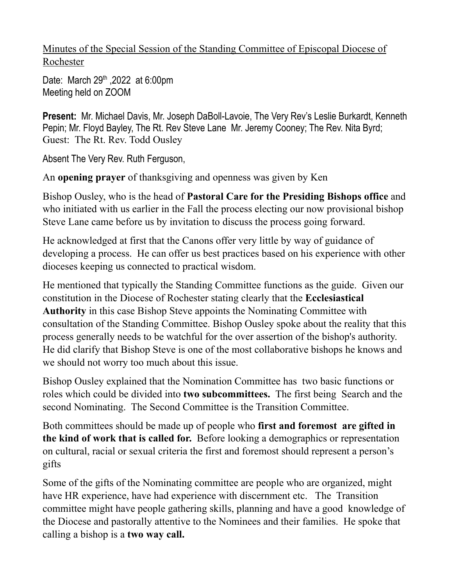Minutes of the Special Session of the Standing Committee of Episcopal Diocese of Rochester

Date: March 29<sup>th</sup>, 2022 at 6:00pm Meeting held on ZOOM

**Present:** Mr. Michael Davis, Mr. Joseph DaBoll-Lavoie, The Very Rev's Leslie Burkardt, Kenneth Pepin; Mr. Floyd Bayley, The Rt. Rev Steve Lane Mr. Jeremy Cooney; The Rev. Nita Byrd; Guest: The Rt. Rev. Todd Ousley

Absent The Very Rev. Ruth Ferguson,

An **opening prayer** of thanksgiving and openness was given by Ken

Bishop Ousley, who is the head of **Pastoral Care for the Presiding Bishops office** and who initiated with us earlier in the Fall the process electing our now provisional bishop Steve Lane came before us by invitation to discuss the process going forward.

He acknowledged at first that the Canons offer very little by way of guidance of developing a process. He can offer us best practices based on his experience with other dioceses keeping us connected to practical wisdom.

He mentioned that typically the Standing Committee functions as the guide. Given our constitution in the Diocese of Rochester stating clearly that the **Ecclesiastical Authority** in this case Bishop Steve appoints the Nominating Committee with consultation of the Standing Committee. Bishop Ousley spoke about the reality that this process generally needs to be watchful for the over assertion of the bishop's authority. He did clarify that Bishop Steve is one of the most collaborative bishops he knows and we should not worry too much about this issue.

Bishop Ousley explained that the Nomination Committee has two basic functions or roles which could be divided into **two subcommittees.** The first being Search and the second Nominating. The Second Committee is the Transition Committee.

Both committees should be made up of people who **first and foremost are gifted in the kind of work that is called for.** Before looking a demographics or representation on cultural, racial or sexual criteria the first and foremost should represent a person's gifts

Some of the gifts of the Nominating committee are people who are organized, might have HR experience, have had experience with discernment etc. The Transition committee might have people gathering skills, planning and have a good knowledge of the Diocese and pastorally attentive to the Nominees and their families. He spoke that calling a bishop is a **two way call.**